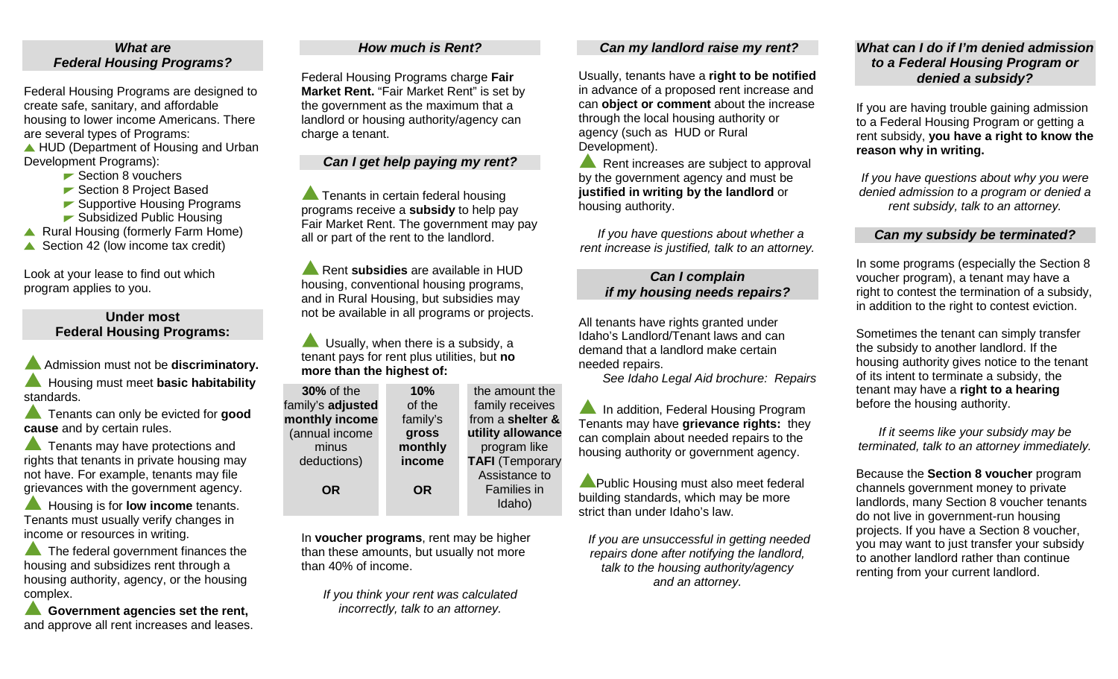### *What are Federal Housing Programs?*

Federal Housing Programs are designed to create safe, sanitary, and affordable housing to lower income Americans. There are several types of Programs: ▲ HUD (Department of Housing and Urban

Development Programs): **► Section 8 vouchers** 

- 
- ► Section 8 Project Based
- ► Supportive Housing Programs
- ► Subsidized Public Housing
- ▲ Rural Housing (formerly Farm Home)
- Section 42 (low income tax credit)

Look at your lease to find out which program applies to you.

# **Under most Federal Housing Programs:**

Admission must not be **discriminatory.** Housing must meet **basic habitability** standards.

**Tenants can only be evicted for good cause** and by certain rules.

**Tenants may have protections and** rights that tenants in private housing may not have. For example, tenants may file grievances with the government agency.

 Housing is for **low income** tenants. Tenants must usually verify changes in income or resources in writing.

The federal government finances the housing and subsidizes rent through a housing authority, agency, or the housing complex.

 **Government agencies set the rent,**  and approve all rent increases and leases.

#### *How much is Rent?*

Federal Housing Programs charge **Fair Market Rent.** "Fair Market Rent" is set by the government as the maximum that a landlord or housing authority/agency can charge a tenant.

# *Can I get help paying my rent?*

**Tenants in certain federal housing** programs receive a **subsidy** to help pay Fair Market Rent. The government may pay all or part of the rent to the landlord.

**Rent subsidies** are available in HUD housing, conventional housing programs, and in Rural Housing, but subsidies may not be available in all programs or projects.

 Usually, when there is a subsidy, a tenant pays for rent plus utilities, but **no more than the highest of:** 

| <b>30%</b> of the | 10%       | the amount the         |
|-------------------|-----------|------------------------|
| family's adjusted | of the    | family receives        |
| monthly income    | family's  | from a shelter &       |
| (annual income    | gross     | utility allowance      |
| minus             | monthly   | program like           |
| deductions)       | income    | <b>TAFI</b> (Temporary |
|                   |           | Assistance to          |
| <b>OR</b>         | <b>OR</b> | <b>Families in</b>     |
|                   |           | Idaho)                 |

In **voucher programs**, rent may be higher than these amounts, but usually not more than 40% of income.

*If you think your rent was calculated incorrectly, talk to an attorney.*

#### *Can my landlord raise my rent?*

Usually, tenants have a **right to be notified** in advance of a proposed rent increase and can **object or comment** about the increase through the local housing authority or agency (such as HUD or Rural Development).

Rent increases are subject to approval by the government agency and must be **justified in writing by the landlord** or housing authority.

 *If you have questions about whether a rent increase is justified, talk to an attorney.*

# *Can I complain if my housing needs repairs?*

All tenants have rights granted under Idaho's Landlord/Tenant laws and can demand that a landlord make certain needed repairs.

*See Idaho Legal Aid brochure: Repairs*

**A** In addition, Federal Housing Program Tenants may have **grievance rights:** they can complain about needed repairs to the housing authority or government agency.

**A** Public Housing must also meet federal building standards, which may be more strict than under Idaho's law.

*If you are unsuccessful in getting needed repairs done after notifying the landlord, talk to the housing authority/agency and an attorney.* 

## *What can I do if I'm denied admission to a Federal Housing Program or denied a subsidy?*

If you are having trouble gaining admission to a Federal Housing Program or getting a rent subsidy, **you have a right to know the reason why in writing.** 

*If you have questions about why you were denied admission to a program or denied a rent subsidy, talk to an attorney.*

#### *Can my subsidy be terminated?*

In some programs (especially the Section 8 voucher program), a tenant may have a right to contest the termination of a subsidy, in addition to the right to contest eviction.

Sometimes the tenant can simply transfer the subsidy to another landlord. If the housing authority gives notice to the tenant of its intent to terminate a subsidy, the tenant may have a **right to a hearing** before the housing authority.

*If it seems like your subsidy may be terminated, talk to an attorney immediately.* 

Because the **Section 8 voucher** program channels government money to private landlords, many Section 8 voucher tenants do not live in government-run housing projects. If you have a Section 8 voucher, you may want to just transfer your subsidy to another landlord rather than continue renting from your current landlord.